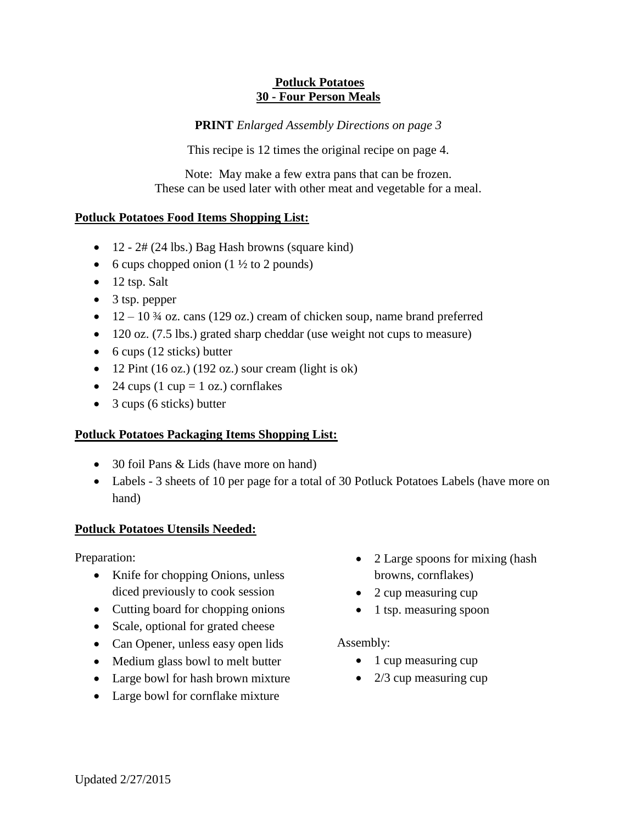#### **Potluck Potatoes 30 - Four Person Meals**

**PRINT** *Enlarged Assembly Directions on page 3*

This recipe is 12 times the original recipe on page 4.

Note: May make a few extra pans that can be frozen. These can be used later with other meat and vegetable for a meal.

## **Potluck Potatoes Food Items Shopping List:**

- $\bullet$  12 2# (24 lbs.) Bag Hash browns (square kind)
- 6 cups chopped onion  $(1 \frac{1}{2})$  to 2 pounds)
- $\bullet$  12 tsp. Salt
- 3 tsp. pepper
- $\bullet$  12 10  $\frac{3}{4}$  oz. cans (129 oz.) cream of chicken soup, name brand preferred
- 120 oz. (7.5 lbs.) grated sharp cheddar (use weight not cups to measure)
- $\bullet$  6 cups (12 sticks) butter
- $\bullet$  12 Pint (16 oz.) (192 oz.) sour cream (light is ok)
- 24 cups (1 cup = 1 oz.) cornflakes
- 3 cups (6 sticks) butter

## **Potluck Potatoes Packaging Items Shopping List:**

- 30 foil Pans & Lids (have more on hand)
- Labels 3 sheets of 10 per page for a total of 30 Potluck Potatoes Labels (have more on hand)

## **Potluck Potatoes Utensils Needed:**

Preparation:

- Knife for chopping Onions, unless diced previously to cook session
- Cutting board for chopping onions
- Scale, optional for grated cheese
- Can Opener, unless easy open lids
- Medium glass bowl to melt butter
- Large bowl for hash brown mixture
- Large bowl for cornflake mixture
- 2 Large spoons for mixing (hash browns, cornflakes)
- 2 cup measuring cup
- $\bullet$  1 tsp. measuring spoon

## Assembly:

- $\bullet$  1 cup measuring cup
- $\bullet$  2/3 cup measuring cup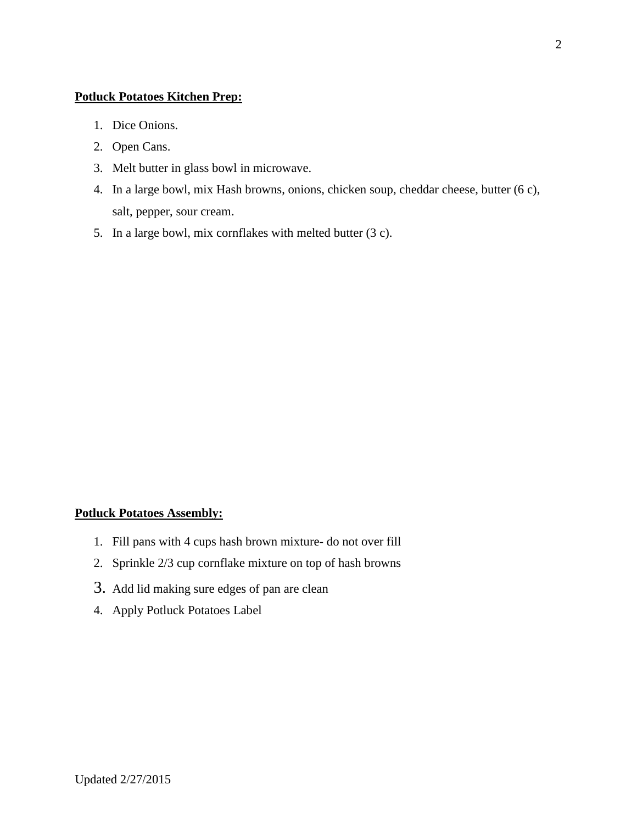#### **Potluck Potatoes Kitchen Prep:**

- 1. Dice Onions.
- 2. Open Cans.
- 3. Melt butter in glass bowl in microwave.
- 4. In a large bowl, mix Hash browns, onions, chicken soup, cheddar cheese, butter (6 c), salt, pepper, sour cream.
- 5. In a large bowl, mix cornflakes with melted butter (3 c).

#### **Potluck Potatoes Assembly:**

- 1. Fill pans with 4 cups hash brown mixture- do not over fill
- 2. Sprinkle 2/3 cup cornflake mixture on top of hash browns
- 3. Add lid making sure edges of pan are clean
- 4. Apply Potluck Potatoes Label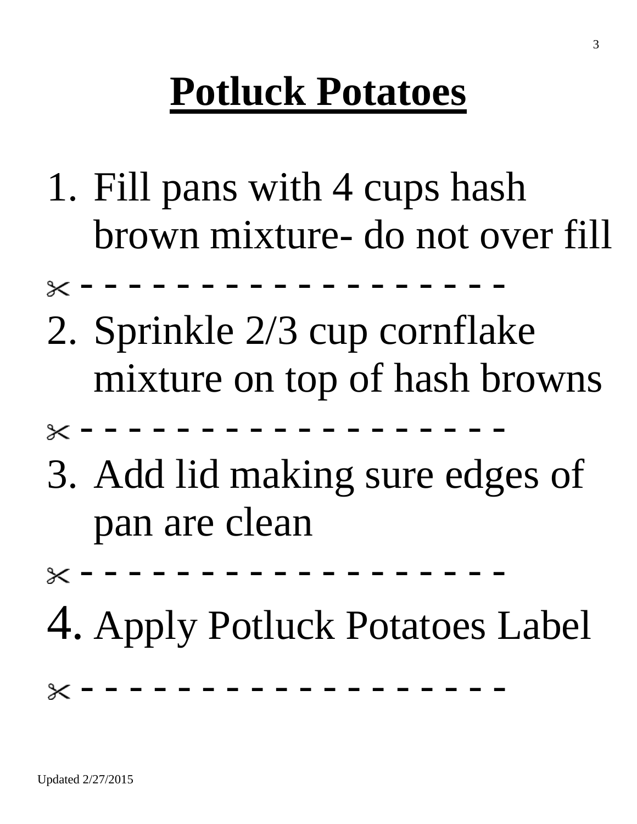# **Potluck Potatoes**

- 1. Fill pans with 4 cups hash brown mixture- do not over fill
- $\times$  - - - - - - -
- 2. Sprinkle 2/3 cup cornflake mixture on top of hash browns
- - - - - - - - - -
- 3. Add lid making sure edges of pan are clean
- - - - - - - - - -
- 4. Apply Potluck Potatoes Label

- - - - - - - - - - - - - - - - - -